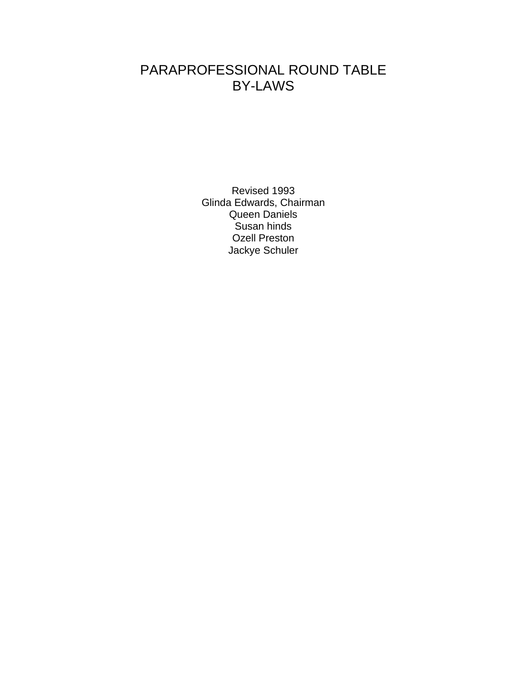# PARAPROFESSIONAL ROUND TABLE BY-LAWS

Revised 1993 Glinda Edwards, Chairman Queen Daniels Susan hinds Ozell Preston Jackye Schuler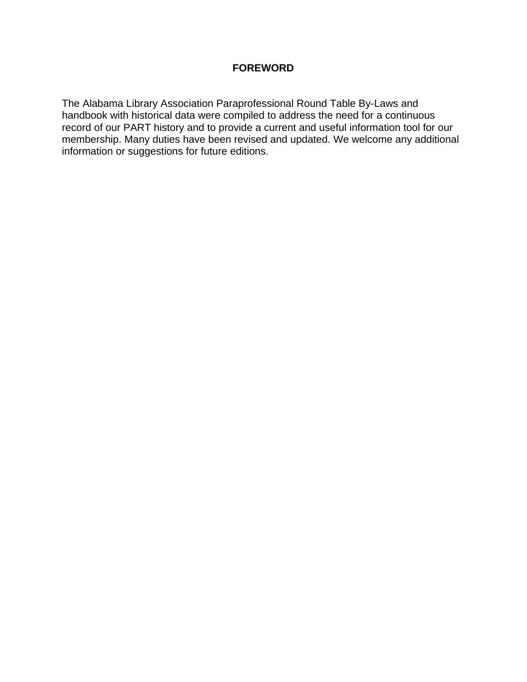# **FOREWORD**

The Alabama Library Association Paraprofessional Round Table By-Laws and handbook with historical data were compiled to address the need for a continuous record of our PART history and to provide a current and useful information tool for our membership. Many duties have been revised and updated. We welcome any additional information or suggestions for future editions.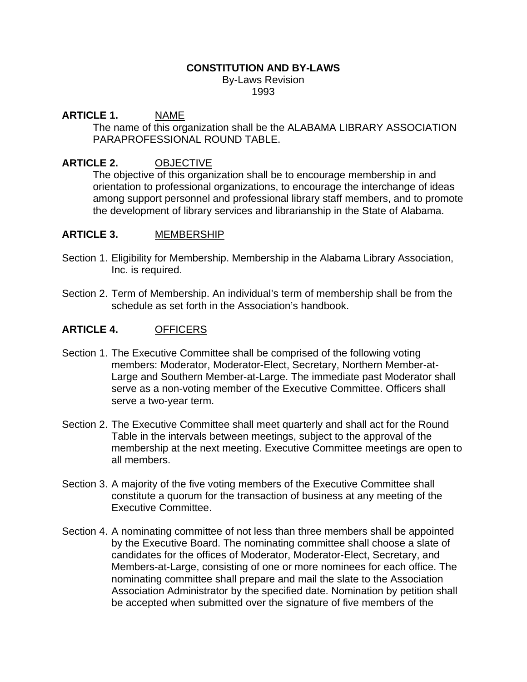# **CONSTITUTION AND BY-LAWS**

By-Laws Revision 1993

# **ARTICLE 1.** NAME

The name of this organization shall be the ALABAMA LIBRARY ASSOCIATION PARAPROFESSIONAL ROUND TABLE.

# **ARTICLE 2.** OBJECTIVE

The objective of this organization shall be to encourage membership in and orientation to professional organizations, to encourage the interchange of ideas among support personnel and professional library staff members, and to promote the development of library services and librarianship in the State of Alabama.

# **ARTICLE 3.** MEMBERSHIP

- Section 1. Eligibility for Membership. Membership in the Alabama Library Association, Inc. is required.
- Section 2. Term of Membership. An individual's term of membership shall be from the schedule as set forth in the Association's handbook.

# **ARTICLE 4.** OFFICERS

- Section 1. The Executive Committee shall be comprised of the following voting members: Moderator, Moderator-Elect, Secretary, Northern Member-at-Large and Southern Member-at-Large. The immediate past Moderator shall serve as a non-voting member of the Executive Committee. Officers shall serve a two-year term.
- Section 2. The Executive Committee shall meet quarterly and shall act for the Round Table in the intervals between meetings, subject to the approval of the membership at the next meeting. Executive Committee meetings are open to all members.
- Section 3. A majority of the five voting members of the Executive Committee shall constitute a quorum for the transaction of business at any meeting of the Executive Committee.
- Section 4. A nominating committee of not less than three members shall be appointed by the Executive Board. The nominating committee shall choose a slate of candidates for the offices of Moderator, Moderator-Elect, Secretary, and Members-at-Large, consisting of one or more nominees for each office. The nominating committee shall prepare and mail the slate to the Association Association Administrator by the specified date. Nomination by petition shall be accepted when submitted over the signature of five members of the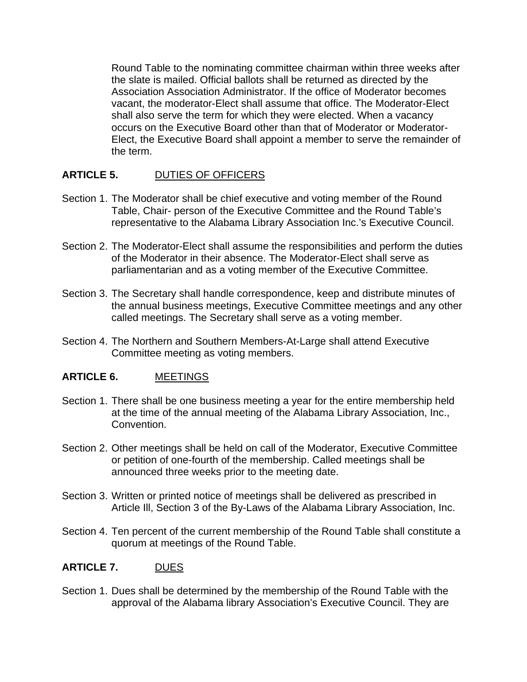Round Table to the nominating committee chairman within three weeks after the slate is mailed. Official ballots shall be returned as directed by the Association Association Administrator. If the office of Moderator becomes vacant, the moderator-Elect shall assume that office. The Moderator-Elect shall also serve the term for which they were elected. When a vacancy occurs on the Executive Board other than that of Moderator or Moderator-Elect, the Executive Board shall appoint a member to serve the remainder of the term.

# **ARTICLE 5.** DUTIES OF OFFICERS

- Section 1. The Moderator shall be chief executive and voting member of the Round Table, Chair- person of the Executive Committee and the Round Table's representative to the Alabama Library Association Inc.'s Executive Council.
- Section 2. The Moderator-Elect shall assume the responsibilities and perform the duties of the Moderator in their absence. The Moderator-Elect shall serve as parliamentarian and as a voting member of the Executive Committee.
- Section 3. The Secretary shall handle correspondence, keep and distribute minutes of the annual business meetings, Executive Committee meetings and any other called meetings. The Secretary shall serve as a voting member.
- Section 4. The Northern and Southern Members-At-Large shall attend Executive Committee meeting as voting members.

# **ARTICLE 6.** MEETINGS

- Section 1. There shall be one business meeting a year for the entire membership held at the time of the annual meeting of the Alabama Library Association, Inc., Convention.
- Section 2. Other meetings shall be held on call of the Moderator, Executive Committee or petition of one-fourth of the membership. Called meetings shall be announced three weeks prior to the meeting date.
- Section 3. Written or printed notice of meetings shall be delivered as prescribed in Article Ill, Section 3 of the By-Laws of the Alabama Library Association, Inc.
- Section 4. Ten percent of the current membership of the Round Table shall constitute a quorum at meetings of the Round Table.

# **ARTICLE 7.** DUES

Section 1. Dues shall be determined by the membership of the Round Table with the approval of the Alabama library Association's Executive Council. They are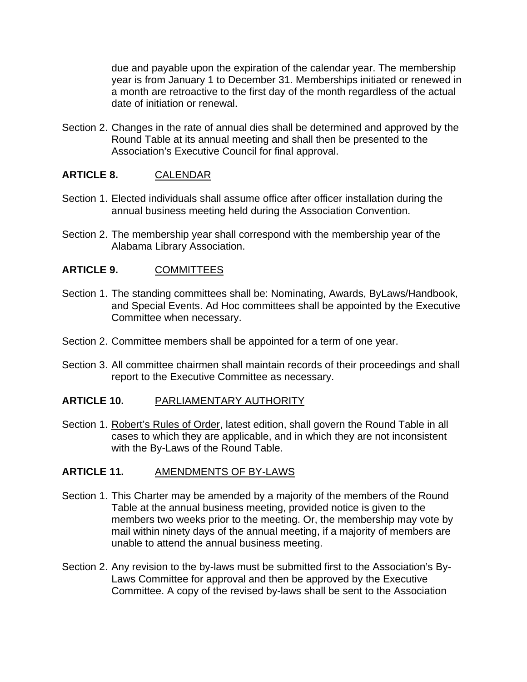due and payable upon the expiration of the calendar year. The membership year is from January 1 to December 31. Memberships initiated or renewed in a month are retroactive to the first day of the month regardless of the actual date of initiation or renewal.

Section 2. Changes in the rate of annual dies shall be determined and approved by the Round Table at its annual meeting and shall then be presented to the Association's Executive Council for final approval.

# **ARTICLE 8.** CALENDAR

- Section 1. Elected individuals shall assume office after officer installation during the annual business meeting held during the Association Convention.
- Section 2. The membership year shall correspond with the membership year of the Alabama Library Association.

# **ARTICLE 9.** COMMITTEES

- Section 1. The standing committees shall be: Nominating, Awards, ByLaws/Handbook, and Special Events. Ad Hoc committees shall be appointed by the Executive Committee when necessary.
- Section 2. Committee members shall be appointed for a term of one year.
- Section 3. All committee chairmen shall maintain records of their proceedings and shall report to the Executive Committee as necessary.

# **ARTICLE 10.** PARLIAMENTARY AUTHORITY

Section 1. Robert's Rules of Order, latest edition, shall govern the Round Table in all cases to which they are applicable, and in which they are not inconsistent with the By-Laws of the Round Table.

# **ARTICLE 11.** AMENDMENTS OF BY-LAWS

- Section 1. This Charter may be amended by a majority of the members of the Round Table at the annual business meeting, provided notice is given to the members two weeks prior to the meeting. Or, the membership may vote by mail within ninety days of the annual meeting, if a majority of members are unable to attend the annual business meeting.
- Section 2. Any revision to the by-laws must be submitted first to the Association's By-Laws Committee for approval and then be approved by the Executive Committee. A copy of the revised by-laws shall be sent to the Association